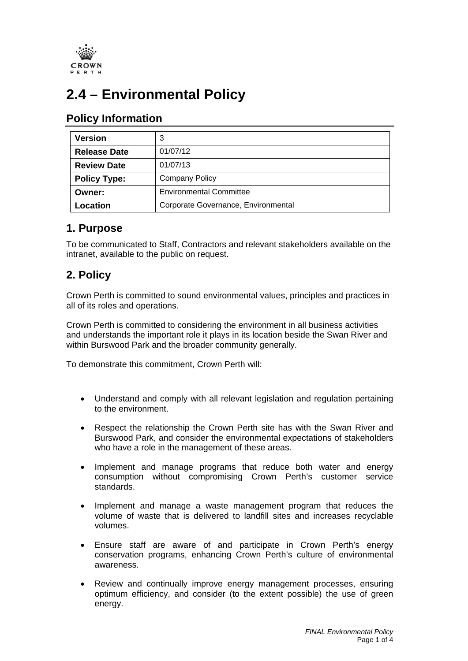

# **2.4 – Environmental Policy**

## **Policy Information**

| <b>Version</b>      |                                     |
|---------------------|-------------------------------------|
| <b>Release Date</b> | 01/07/12                            |
| <b>Review Date</b>  | 01/07/13                            |
| <b>Policy Type:</b> | <b>Company Policy</b>               |
| Owner:              | <b>Environmental Committee</b>      |
| Location            | Corporate Governance, Environmental |

### **1. Purpose**

To be communicated to Staff, Contractors and relevant stakeholders available on the intranet, available to the public on request.

# **2. Policy**

Crown Perth is committed to sound environmental values, principles and practices in all of its roles and operations.

Crown Perth is committed to considering the environment in all business activities and understands the important role it plays in its location beside the Swan River and within Burswood Park and the broader community generally.

To demonstrate this commitment, Crown Perth will:

- Understand and comply with all relevant legislation and regulation pertaining to the environment.
- Respect the relationship the Crown Perth site has with the Swan River and Burswood Park, and consider the environmental expectations of stakeholders who have a role in the management of these areas.
- Implement and manage programs that reduce both water and energy consumption without compromising Crown Perth's customer service standards.
- Implement and manage a waste management program that reduces the volume of waste that is delivered to landfill sites and increases recyclable volumes.
- Ensure staff are aware of and participate in Crown Perth's energy conservation programs, enhancing Crown Perth's culture of environmental awareness.
- Review and continually improve energy management processes, ensuring optimum efficiency, and consider (to the extent possible) the use of green energy.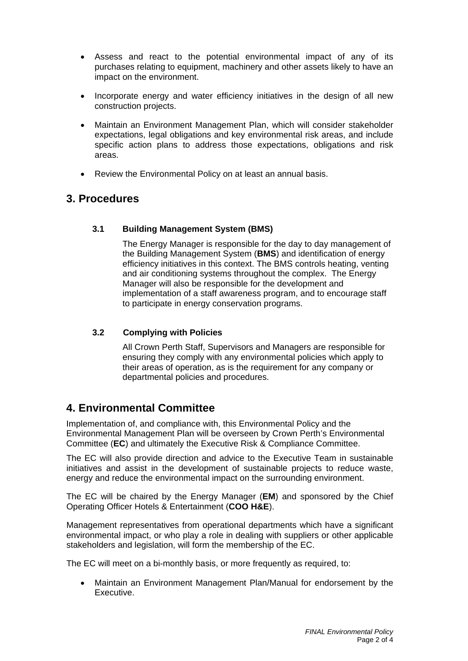- Assess and react to the potential environmental impact of any of its purchases relating to equipment, machinery and other assets likely to have an impact on the environment.
- Incorporate energy and water efficiency initiatives in the design of all new construction projects.
- Maintain an Environment Management Plan, which will consider stakeholder expectations, legal obligations and key environmental risk areas, and include specific action plans to address those expectations, obligations and risk areas.
- Review the Environmental Policy on at least an annual basis.

### **3. Procedures**

#### **3.1 Building Management System (BMS)**

The Energy Manager is responsible for the day to day management of the Building Management System (**BMS**) and identification of energy efficiency initiatives in this context. The BMS controls heating, venting and air conditioning systems throughout the complex. The Energy Manager will also be responsible for the development and implementation of a staff awareness program, and to encourage staff to participate in energy conservation programs.

#### **3.2 Complying with Policies**

All Crown Perth Staff, Supervisors and Managers are responsible for ensuring they comply with any environmental policies which apply to their areas of operation, as is the requirement for any company or departmental policies and procedures.

### **4. Environmental Committee**

Implementation of, and compliance with, this Environmental Policy and the Environmental Management Plan will be overseen by Crown Perth's Environmental Committee (**EC**) and ultimately the Executive Risk & Compliance Committee.

The EC will also provide direction and advice to the Executive Team in sustainable initiatives and assist in the development of sustainable projects to reduce waste, energy and reduce the environmental impact on the surrounding environment.

The EC will be chaired by the Energy Manager (**EM**) and sponsored by the Chief Operating Officer Hotels & Entertainment (**COO H&E**).

Management representatives from operational departments which have a significant environmental impact, or who play a role in dealing with suppliers or other applicable stakeholders and legislation, will form the membership of the EC.

The EC will meet on a bi-monthly basis, or more frequently as required, to:

• Maintain an Environment Management Plan/Manual for endorsement by the Executive.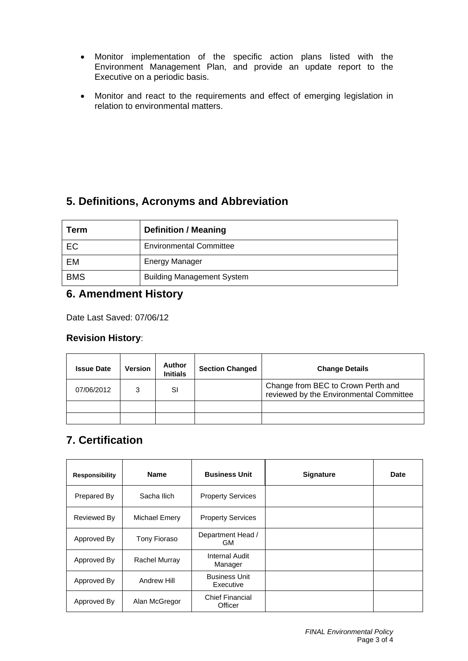- Monitor implementation of the specific action plans listed with the Environment Management Plan, and provide an update report to the Executive on a periodic basis.
- Monitor and react to the requirements and effect of emerging legislation in relation to environmental matters.

# **5. Definitions, Acronyms and Abbreviation**

| Term       | <b>Definition / Meaning</b>       |  |  |
|------------|-----------------------------------|--|--|
| EC         | <b>Environmental Committee</b>    |  |  |
| EM         | <b>Energy Manager</b>             |  |  |
| <b>BMS</b> | <b>Building Management System</b> |  |  |

## **6. Amendment History**

Date Last Saved: 07/06/12

### **Revision History**:

| <b>Issue Date</b> | <b>Version</b> | Author<br><b>Initials</b> | <b>Section Changed</b> | <b>Change Details</b>                                                         |
|-------------------|----------------|---------------------------|------------------------|-------------------------------------------------------------------------------|
| 07/06/2012        |                | SI                        |                        | Change from BEC to Crown Perth and<br>reviewed by the Environmental Committee |
|                   |                |                           |                        |                                                                               |
|                   |                |                           |                        |                                                                               |

# **7. Certification**

| <b>Responsibility</b> | <b>Name</b>   | <b>Business Unit</b>              | <b>Signature</b> | <b>Date</b> |
|-----------------------|---------------|-----------------------------------|------------------|-------------|
| Prepared By           | Sacha Ilich   | <b>Property Services</b>          |                  |             |
| Reviewed By           | Michael Emery | <b>Property Services</b>          |                  |             |
| Approved By           | Tony Fioraso  | Department Head /<br>GМ           |                  |             |
| Approved By           | Rachel Murray | Internal Audit<br>Manager         |                  |             |
| Approved By           | Andrew Hill   | <b>Business Unit</b><br>Executive |                  |             |
| Approved By           | Alan McGregor | <b>Chief Financial</b><br>Officer |                  |             |